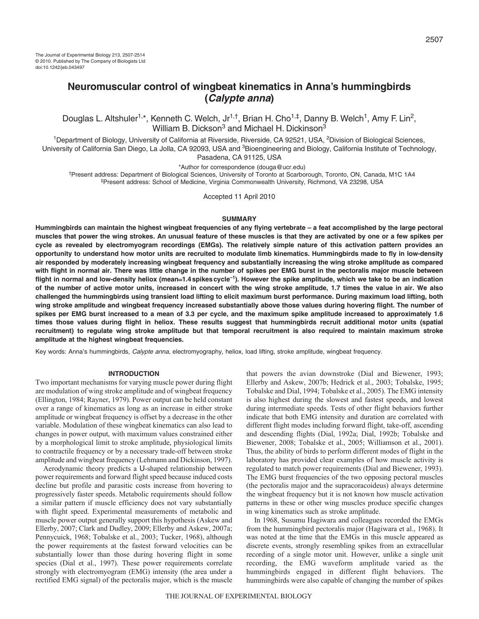# **Neuromuscular control of wingbeat kinematics in Anna's hummingbirds (Calypte anna)**

Douglas L. Altshuler<sup>1,\*</sup>, Kenneth C. Welch, Jr<sup>1,†</sup>, Brian H. Cho<sup>1,‡</sup>, Danny B. Welch<sup>1</sup>, Amy F. Lin<sup>2</sup>, William B. Dickson<sup>3</sup> and Michael H. Dickinson<sup>3</sup>

<sup>1</sup>Department of Biology, University of California at Riverside, Riverside, CA 92521, USA, <sup>2</sup>Division of Biological Sciences, University of California San Diego, La Jolla, CA 92093, USA and <sup>3</sup>Bioengineering and Biology, California Institute of Technology, Pasadena, CA 91125, USA

\*Author for correspondence (douga@ucr.edu)

†Present address: Department of Biological Sciences, University of Toronto at Scarborough, Toronto, ON, Canada, M1C 1A4 ‡Present address: School of Medicine, Virginia Commonwealth University, Richmond, VA 23298, USA

Accepted 11 April 2010

### **SUMMARY**

**Hummingbirds can maintain the highest wingbeat frequencies of any flying vertebrate – a feat accomplished by the large pectoral muscles that power the wing strokes. An unusual feature of these muscles is that they are activated by one or a few spikes per cycle as revealed by electromyogram recordings (EMGs). The relatively simple nature of this activation pattern provides an opportunity to understand how motor units are recruited to modulate limb kinematics. Hummingbirds made to fly in low-density air responded by moderately increasing wingbeat frequency and substantially increasing the wing stroke amplitude as compared with flight in normal air. There was little change in the number of spikes per EMG burst in the pectoralis major muscle between flight in normal and low-density heliox (mean1.4spikescycle–1). However the spike amplitude, which we take to be an indication of the number of active motor units, increased in concert with the wing stroke amplitude, 1.7 times the value in air. We also challenged the hummingbirds using transient load lifting to elicit maximum burst performance. During maximum load lifting, both wing stroke amplitude and wingbeat frequency increased substantially above those values during hovering flight. The number of spikes per EMG burst increased to a mean of 3.3 per cycle, and the maximum spike amplitude increased to approximately 1.6 times those values during flight in heliox. These results suggest that hummingbirds recruit additional motor units (spatial recruitment) to regulate wing stroke amplitude but that temporal recruitment is also required to maintain maximum stroke amplitude at the highest wingbeat frequencies.**

Key words: Anna's hummingbirds, Calypte anna, electromyography, heliox, load lifting, stroke amplitude, wingbeat frequency.

### **INTRODUCTION**

Two important mechanisms for varying muscle power during flight are modulation of wing stroke amplitude and of wingbeat frequency (Ellington, 1984; Rayner, 1979). Power output can be held constant over a range of kinematics as long as an increase in either stroke amplitude or wingbeat frequency is offset by a decrease in the other variable. Modulation of these wingbeat kinematics can also lead to changes in power output, with maximum values constrained either by a morphological limit to stroke amplitude, physiological limits to contractile frequency or by a necessary trade-off between stroke amplitude and wingbeat frequency (Lehmann and Dickinson, 1997).

Aerodynamic theory predicts a U-shaped relationship between power requirements and forward flight speed because induced costs decline but profile and parasitic costs increase from hovering to progressively faster speeds. Metabolic requirements should follow a similar pattern if muscle efficiency does not vary substantially with flight speed. Experimental measurements of metabolic and muscle power output generally support this hypothesis (Askew and Ellerby, 2007; Clark and Dudley, 2009; Ellerby and Askew, 2007a; Pennycuick, 1968; Tobalske et al., 2003; Tucker, 1968), although the power requirements at the fastest forward velocities can be substantially lower than those during hovering flight in some species (Dial et al., 1997). These power requirements correlate strongly with electromyogram (EMG) intensity (the area under a rectified EMG signal) of the pectoralis major, which is the muscle

that powers the avian downstroke (Dial and Biewener, 1993; Ellerby and Askew, 2007b; Hedrick et al., 2003; Tobalske, 1995; Tobalske and Dial, 1994; Tobalske et al., 2005). The EMG intensity is also highest during the slowest and fastest speeds, and lowest during intermediate speeds. Tests of other flight behaviors further indicate that both EMG intensity and duration are correlated with different flight modes including forward flight, take-off, ascending and descending flights (Dial, 1992a; Dial, 1992b; Tobalske and Biewener, 2008; Tobalske et al., 2005; Williamson et al., 2001). Thus, the ability of birds to perform different modes of flight in the laboratory has provided clear examples of how muscle activity is regulated to match power requirements (Dial and Biewener, 1993). The EMG burst frequencies of the two opposing pectoral muscles (the pectoralis major and the supracoracoideus) always determine the wingbeat frequency but it is not known how muscle activation patterns in these or other wing muscles produce specific changes in wing kinematics such as stroke amplitude.

In 1968, Susumu Hagiwara and colleagues recorded the EMGs from the hummingbird pectoralis major (Hagiwara et al., 1968). It was noted at the time that the EMGs in this muscle appeared as discrete events, strongly resembling spikes from an extracellular recording of a single motor unit. However, unlike a single unit recording, the EMG waveform amplitude varied as the hummingbirds engaged in different flight behaviors. The hummingbirds were also capable of changing the number of spikes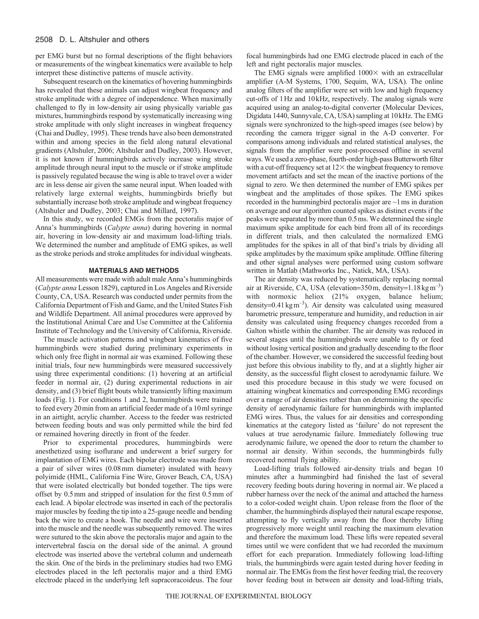# 2508 D. L. Altshuler and others

per EMG burst but no formal descriptions of the flight behaviors or measurements of the wingbeat kinematics were available to help interpret these distinctive patterns of muscle activity.

Subsequent research on the kinematics of hovering hummingbirds has revealed that these animals can adjust wingbeat frequency and stroke amplitude with a degree of independence. When maximally challenged to fly in low-density air using physically variable gas mixtures, hummingbirds respond by systematically increasing wing stroke amplitude with only slight increases in wingbeat frequency (Chai and Dudley, 1995). These trends have also been demonstrated within and among species in the field along natural elevational gradients (Altshuler, 2006; Altshuler and Dudley, 2003). However, it is not known if hummingbirds actively increase wing stroke amplitude through neural input to the muscle or if stroke amplitude is passively regulated because the wing is able to travel over a wider arc in less dense air given the same neural input. When loaded with relatively large external weights, hummingbirds briefly but substantially increase both stroke amplitude and wingbeat frequency (Altshuler and Dudley, 2003; Chai and Millard, 1997).

In this study, we recorded EMGs from the pectoralis major of Anna's hummingbirds (*Calypte anna*) during hovering in normal air, hovering in low-density air and maximum load-lifting trials. We determined the number and amplitude of EMG spikes, as well as the stroke periods and stroke amplitudes for individual wingbeats.

### **MATERIALS AND METHODS**

All measurements were made with adult male Anna's hummingbirds (*Calypte anna* Lesson 1829), captured in Los Angeles and Riverside County, CA, USA. Research was conducted under permits from the California Department of Fish and Game, and the United States Fish and Wildlife Department. All animal procedures were approved by the Institutional Animal Care and Use Committee at the California Institute of Technology and the University of California, Riverside.

The muscle activation patterns and wingbeat kinematics of five hummingbirds were studied during preliminary experiments in which only free flight in normal air was examined. Following these initial trials, four new hummingbirds were measured successively using three experimental conditions: (1) hovering at an artificial feeder in normal air, (2) during experimental reductions in air density, and (3) brief flight bouts while transiently lifting maximum loads (Fig.1). For conditions 1 and 2, hummingbirds were trained to feed every 20min from an artificial feeder made of a 10ml syringe in an airtight, acrylic chamber. Access to the feeder was restricted between feeding bouts and was only permitted while the bird fed or remained hovering directly in front of the feeder.

Prior to experimental procedures, hummingbirds were anesthetized using isoflurane and underwent a brief surgery for implantation of EMG wires. Each bipolar electrode was made from a pair of silver wires (0.08mm diameter) insulated with heavy polyimide (HML, California Fine Wire, Grover Beach, CA, USA) that were isolated electrically but bonded together. The tips were offset by 0.5mm and stripped of insulation for the first 0.5mm of each lead. A bipolar electrode was inserted in each of the pectoralis major muscles by feeding the tip into a 25-gauge needle and bending back the wire to create a hook. The needle and wire were inserted into the muscle and the needle was subsequently removed. The wires were sutured to the skin above the pectoralis major and again to the intervertebral fascia on the dorsal side of the animal. A ground electrode was inserted above the vertebral column and underneath the skin. One of the birds in the preliminary studies had two EMG electrodes placed in the left pectoralis major and a third EMG electrode placed in the underlying left supracoracoideus. The four focal hummingbirds had one EMG electrode placed in each of the left and right pectoralis major muscles.

The EMG signals were amplified  $1000 \times$  with an extracellular amplifier (A-M Systems, 1700, Sequim, WA, USA). The online analog filters of the amplifier were set with low and high frequency cut-offs of 1Hz and 10kHz, respectively. The analog signals were acquired using an analog-to-digital converter (Molecular Devices, Digidata 1440, Sunnyvale, CA, USA) sampling at 10kHz. The EMG signals were synchronized to the high-speed images (see below) by recording the camera trigger signal in the A-D converter. For comparisons among individuals and related statistical analyses, the signals from the amplifier were post-processed offline in several ways. We used a zero-phase, fourth-order high-pass Butterworth filter with a cut-off frequency set at  $12\times$  the wingbeat frequency to remove movement artifacts and set the mean of the inactive portions of the signal to zero. We then determined the number of EMG spikes per wingbeat and the amplitudes of those spikes. The EMG spikes recorded in the hummingbird pectoralis major are  $\sim$ 1 ms in duration on average and our algorithm counted spikes as distinct events if the peaks were separated by more than 0.5ms. We determined the single maximum spike amplitude for each bird from all of its recordings in different trials, and then calculated the normalized EMG amplitudes for the spikes in all of that bird's trials by dividing all spike amplitudes by the maximum spike amplitude. Offline filtering and other signal analyses were performed using custom software written in Matlab (Mathworks Inc., Natick, MA, USA).

The air density was reduced by systematically replacing normal air at Riverside, CA, USA (elevation=350m, density=1.18kgm<sup>-3</sup>) with normoxic heliox (21% oxygen, balance helium; density=0.41 kg m<sup>-3</sup>). Air density was calculated using measured barometric pressure, temperature and humidity, and reduction in air density was calculated using frequency changes recorded from a Galton whistle within the chamber. The air density was reduced in several stages until the hummingbirds were unable to fly or feed without losing vertical position and gradually descending to the floor of the chamber. However, we considered the successful feeding bout just before this obvious inability to fly, and at a slightly higher air density, as the successful flight closest to aerodynamic failure. We used this procedure because in this study we were focused on attaining wingbeat kinematics and corresponding EMG recordings over a range of air densities rather than on determining the specific density of aerodynamic failure for hummingbirds with implanted EMG wires. Thus, the values for air densities and corresponding kinematics at the category listed as 'failure' do not represent the values at true aerodynamic failure. Immediately following true aerodynamic failure, we opened the door to return the chamber to normal air density. Within seconds, the hummingbirds fully recovered normal flying ability.

Load-lifting trials followed air-density trials and began 10 minutes after a hummingbird had finished the last of several recovery feeding bouts during hovering in normal air. We placed a rubber harness over the neck of the animal and attached the harness to a color-coded weight chain. Upon release from the floor of the chamber, the hummingbirds displayed their natural escape response, attempting to fly vertically away from the floor thereby lifting progressively more weight until reaching the maximum elevation and therefore the maximum load. These lifts were repeated several times until we were confident that we had recorded the maximum effort for each preparation. Immediately following load-lifting trials, the hummingbirds were again tested during hover feeding in normal air. The EMGs from the first hover feeding trial, the recovery hover feeding bout in between air density and load-lifting trials,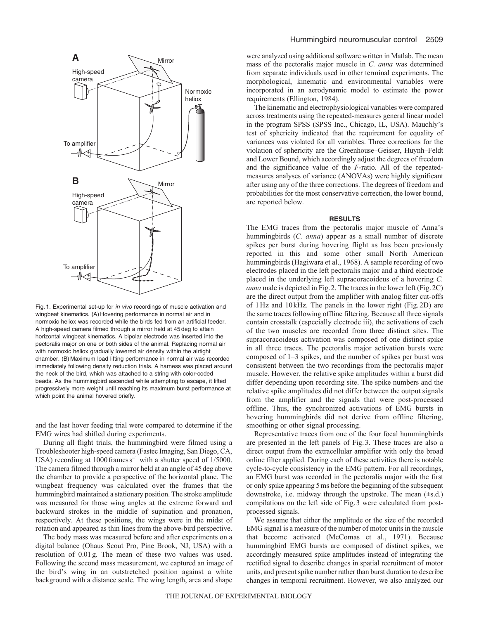

Fig. 1. Experimental set-up for in vivo recordings of muscle activation and wingbeat kinematics. (A) Hovering performance in normal air and in normoxic heliox was recorded while the birds fed from an artificial feeder. A high-speed camera filmed through a mirror held at 45 deg to attain horizontal wingbeat kinematics. A bipolar electrode was inserted into the pectoralis major on one or both sides of the animal. Replacing normal air with normoxic heliox gradually lowered air density within the airtight chamber. (B) Maximum load lifting performance in normal air was recorded immediately following density reduction trials. A harness was placed around the neck of the bird, which was attached to a string with color-coded beads. As the hummingbird ascended while attempting to escape, it lifted progressively more weight until reaching its maximum burst performance at which point the animal hovered briefly.

and the last hover feeding trial were compared to determine if the EMG wires had shifted during experiments.

During all flight trials, the hummingbird were filmed using a Troubleshooter high-speed camera (Fastec Imaging, San Diego, CA, USA) recording at  $1000$  frames  $s^{-1}$  with a shutter speed of  $1/5000$ . The camera filmed through a mirror held at an angle of 45deg above the chamber to provide a perspective of the horizontal plane. The wingbeat frequency was calculated over the frames that the hummingbird maintained a stationary position. The stroke amplitude was measured for those wing angles at the extreme forward and backward strokes in the middle of supination and pronation, respectively. At these positions, the wings were in the midst of rotation and appeared as thin lines from the above-bird perspective.

The body mass was measured before and after experiments on a digital balance (Ohaus Scout Pro, Pine Brook, NJ, USA) with a resolution of 0.01g. The mean of these two values was used. Following the second mass measurement, we captured an image of the bird's wing in an outstretched position against a white background with a distance scale. The wing length, area and shape were analyzed using additional software written in Matlab. The mean mass of the pectoralis major muscle in *C. anna* was determined from separate individuals used in other terminal experiments. The morphological, kinematic and environmental variables were incorporated in an aerodynamic model to estimate the power requirements (Ellington, 1984).

The kinematic and electrophysiological variables were compared across treatments using the repeated-measures general linear model in the program SPSS (SPSS Inc., Chicago, IL, USA). Mauchly's test of sphericity indicated that the requirement for equality of variances was violated for all variables. Three corrections for the violation of sphericity are the Greenhouse–Geisser, Huynh–Feldt and Lower Bound, which accordingly adjust the degrees of freedom and the significance value of the *F*-ratio. All of the repeatedmeasures analyses of variance (ANOVAs) were highly significant after using any of the three corrections. The degrees of freedom and probabilities for the most conservative correction, the lower bound, are reported below.

#### **RESULTS**

The EMG traces from the pectoralis major muscle of Anna's hummingbirds (*C. anna*) appear as a small number of discrete spikes per burst during hovering flight as has been previously reported in this and some other small North American hummingbirds (Hagiwara et al., 1968). A sample recording of two electrodes placed in the left pectoralis major and a third electrode placed in the underlying left supracoracoideus of a hovering *C. anna* male is depicted in Fig.2. The traces in the lower left (Fig.2C) are the direct output from the amplifier with analog filter cut-offs of 1Hz and 10 kHz. The panels in the lower right (Fig.2D) are the same traces following offline filtering. Because all three signals contain crosstalk (especially electrode iii), the activations of each of the two muscles are recorded from three distinct sites. The supracoracoideus activation was composed of one distinct spike in all three traces. The pectoralis major activation bursts were composed of 1–3 spikes, and the number of spikes per burst was consistent between the two recordings from the pectoralis major muscle. However, the relative spike amplitudes within a burst did differ depending upon recording site. The spike numbers and the relative spike amplitudes did not differ between the output signals from the amplifier and the signals that were post-processed offline. Thus, the synchronized activations of EMG bursts in hovering hummingbirds did not derive from offline filtering, smoothing or other signal processing.

Representative traces from one of the four focal hummingbirds are presented in the left panels of Fig.3. These traces are also a direct output from the extracellular amplifier with only the broad online filter applied. During each of these activities there is notable cycle-to-cycle consistency in the EMG pattern. For all recordings, an EMG burst was recorded in the pectoralis major with the first or only spike appearing 5ms before the beginning of the subsequent downstroke, i.e. midway through the upstroke. The mean (±s.d.) compilations on the left side of Fig.3 were calculated from postprocessed signals.

We assume that either the amplitude or the size of the recorded EMG signal is a measure of the number of motor units in the muscle that become activated (McComas et al., 1971). Because hummingbird EMG bursts are composed of distinct spikes, we accordingly measured spike amplitudes instead of integrating the rectified signal to describe changes in spatial recruitment of motor units, and present spike number rather than burst duration to describe changes in temporal recruitment. However, we also analyzed our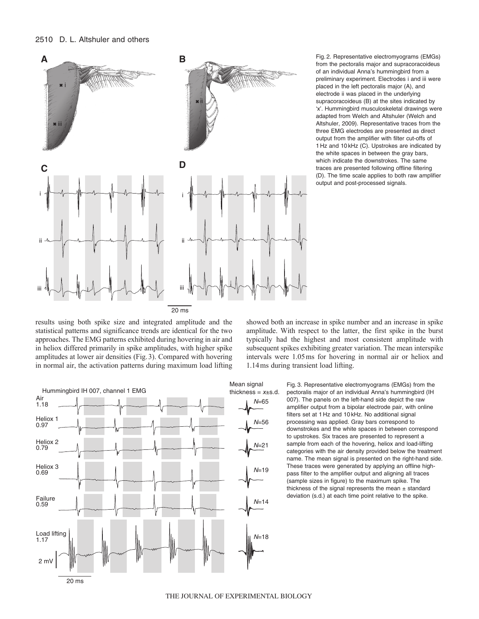

Fig. 2. Representative electromyograms (EMGs) from the pectoralis major and supracoracoideus of an individual Anna's hummingbird from a preliminary experiment. Electrodes i and iii were placed in the left pectoralis major (A), and electrode ii was placed in the underlying supracoracoideus (B) at the sites indicated by 'x'. Hummingbird musculoskeletal drawings were adapted from Welch and Altshuler (Welch and Altshuler, 2009). Representative traces from the three EMG electrodes are presented as direct output from the amplifier with filter cut-offs of 1 Hz and 10 kHz (C). Upstrokes are indicated by the white spaces in between the gray bars, which indicate the downstrokes. The same traces are presented following offline filtering (D). The time scale applies to both raw amplifier output and post-processed signals.

results using both spike size and integrated amplitude and the statistical patterns and significance trends are identical for the two approaches. The EMG patterns exhibited during hovering in air and in heliox differed primarily in spike amplitudes, with higher spike amplitudes at lower air densities (Fig.3). Compared with hovering in normal air, the activation patterns during maximum load lifting

20 ms 2 mV Air 1.18 Heliox 1 0.97 Heliox 2 0.79 Heliox 3 0.69 Failure<br>0.59 Load lifting 1.17 *N*=65 Hummingbird IH 007, channel 1 EMG Mean signal thickness =  $x \pm s.d$ . *N*=14 *N*=56 *N*=21 *N*=19 *N*=18

showed both an increase in spike number and an increase in spike amplitude. With respect to the latter, the first spike in the burst typically had the highest and most consistent amplitude with subsequent spikes exhibiting greater variation. The mean interspike intervals were 1.05ms for hovering in normal air or heliox and 1.14ms during transient load lifting.

> Fig. 3. Representative electromyograms (EMGs) from the pectoralis major of an individual Anna's hummingbird (IH 007). The panels on the left-hand side depict the raw amplifier output from a bipolar electrode pair, with online filters set at 1 Hz and 10 kHz. No additional signal processing was applied. Gray bars correspond to downstrokes and the white spaces in between correspond to upstrokes. Six traces are presented to represent a sample from each of the hovering, heliox and load-lifting categories with the air density provided below the treatment name. The mean signal is presented on the right-hand side. These traces were generated by applying an offline highpass filter to the amplifier output and aligning all traces (sample sizes in figure) to the maximum spike. The thickness of the signal represents the mean  $\pm$  standard deviation (s.d.) at each time point relative to the spike.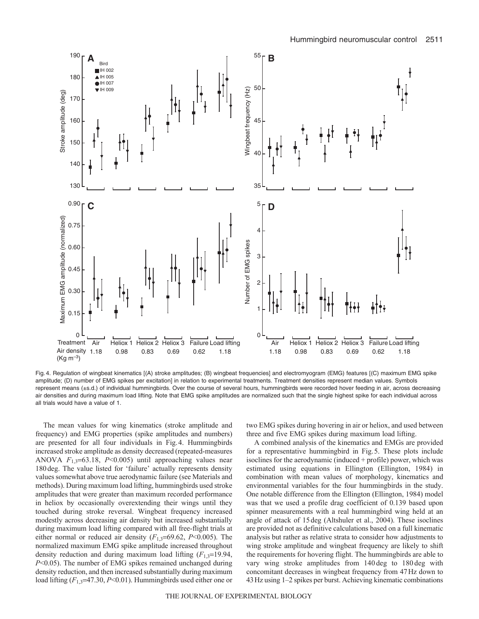

Fig. 4. Regulation of wingbeat kinematics [(A) stroke amplitudes; (B) wingbeat frequencies] and electromyogram (EMG) features [(C) maximum EMG spike amplitude; (D) number of EMG spikes per excitation] in relation to experimental treatments. Treatment densities represent median values. Symbols represent means (±s.d.) of individual hummingbirds. Over the course of several hours, hummingbirds were recorded hover feeding in air, across decreasing air densities and during maximum load lifting. Note that EMG spike amplitudes are normalized such that the single highest spike for each individual across all trials would have a value of 1.

The mean values for wing kinematics (stroke amplitude and frequency) and EMG properties (spike amplitudes and numbers) are presented for all four individuals in Fig.4. Hummingbirds increased stroke amplitude as density decreased (repeated-measures ANOVA  $F_{1,3}=63.18$ ,  $P<0.005$ ) until approaching values near 180deg. The value listed for 'failure' actually represents density values somewhat above true aerodynamic failure (see Materials and methods). During maximum load lifting, hummingbirds used stroke amplitudes that were greater than maximum recorded performance in heliox by occasionally overextending their wings until they touched during stroke reversal. Wingbeat frequency increased modestly across decreasing air density but increased substantially during maximum load lifting compared with all free-flight trials at either normal or reduced air density  $(F_{1,3}=69.62, P<0.005)$ . The normalized maximum EMG spike amplitude increased throughout density reduction and during maximum load lifting  $(F_{1,3}=19.94,$ *P*<0.05). The number of EMG spikes remained unchanged during density reduction, and then increased substantially during maximum load lifting ( $F_{1,3}$ =47.30, *P*<0.01). Hummingbirds used either one or two EMG spikes during hovering in air or heliox, and used between three and five EMG spikes during maximum load lifting.

A combined analysis of the kinematics and EMGs are provided for a representative hummingbird in Fig.5. These plots include isoclines for the aerodynamic (induced + profile) power, which was estimated using equations in Ellington (Ellington, 1984) in combination with mean values of morphology, kinematics and environmental variables for the four hummingbirds in the study. One notable difference from the Ellington (Ellington, 1984) model was that we used a profile drag coefficient of 0.139 based upon spinner measurements with a real hummingbird wing held at an angle of attack of 15deg (Altshuler et al., 2004). These isoclines are provided not as definitive calculations based on a full kinematic analysis but rather as relative strata to consider how adjustments to wing stroke amplitude and wingbeat frequency are likely to shift the requirements for hovering flight. The hummingbirds are able to vary wing stroke amplitudes from 140 deg to 180 deg with concomitant decreases in wingbeat frequency from 47Hz down to 43Hz using 1–2 spikes per burst. Achieving kinematic combinations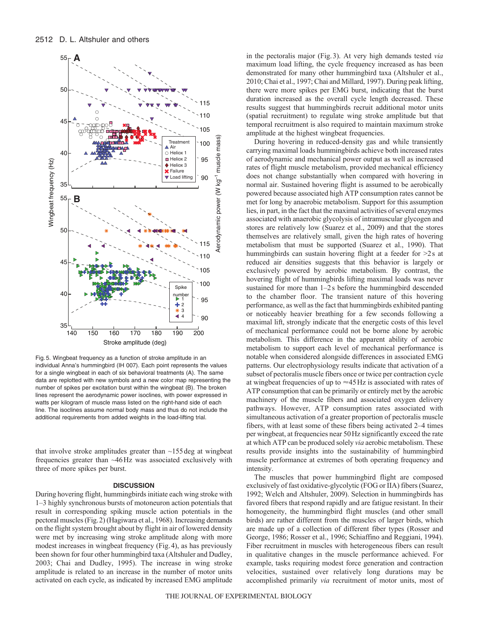

Fig. 5. Wingbeat frequency as a function of stroke amplitude in an individual Anna's hummingbird (IH 007). Each point represents the values for a single wingbeat in each of six behavioral treatments (A). The same data are replotted with new symbols and a new color map representing the number of spikes per excitation burst within the wingbeat (B). The broken lines represent the aerodynamic power isoclines, with power expressed in watts per kilogram of muscle mass listed on the right-hand side of each line. The isoclines assume normal body mass and thus do not include the additional requirements from added weights in the load-lifting trial.

that involve stroke amplitudes greater than  $\sim$ 155 deg at wingbeat frequencies greater than ~46Hz was associated exclusively with three of more spikes per burst.

# **DISCUSSION**

During hovering flight, hummingbirds initiate each wing stroke with 1–3 highly synchronous bursts of motoneuron action potentials that result in corresponding spiking muscle action potentials in the pectoral muscles (Fig.2) (Hagiwara et al., 1968). Increasing demands on the flight system brought about by flight in air of lowered density were met by increasing wing stroke amplitude along with more modest increases in wingbeat frequency (Fig.4), as has previously been shown for four other hummingbird taxa (Altshuler and Dudley, 2003; Chai and Dudley, 1995). The increase in wing stroke amplitude is related to an increase in the number of motor units activated on each cycle, as indicated by increased EMG amplitude in the pectoralis major (Fig.3). At very high demands tested *via* maximum load lifting, the cycle frequency increased as has been demonstrated for many other hummingbird taxa (Altshuler et al., 2010; Chai et al., 1997; Chai and Millard, 1997). During peak lifting, there were more spikes per EMG burst, indicating that the burst duration increased as the overall cycle length decreased. These results suggest that hummingbirds recruit additional motor units (spatial recruitment) to regulate wing stroke amplitude but that temporal recruitment is also required to maintain maximum stroke amplitude at the highest wingbeat frequencies.

During hovering in reduced-density gas and while transiently carrying maximal loads hummingbirds achieve both increased rates of aerodynamic and mechanical power output as well as increased rates of flight muscle metabolism, provided mechanical efficiency does not change substantially when compared with hovering in normal air. Sustained hovering flight is assumed to be aerobically powered because associated high ATP consumption rates cannot be met for long by anaerobic metabolism. Support for this assumption lies, in part, in the fact that the maximal activities of several enzymes associated with anaerobic glycolysis of intramuscular glycogen and stores are relatively low (Suarez et al., 2009) and that the stores themselves are relatively small, given the high rates of hovering metabolism that must be supported (Suarez et al., 1990). That hummingbirds can sustain hovering flight at a feeder for  $>2$ s at reduced air densities suggests that this behavior is largely or exclusively powered by aerobic metabolism. By contrast, the hovering flight of hummingbirds lifting maximal loads was never sustained for more than 1–2s before the hummingbird descended to the chamber floor. The transient nature of this hovering performance, as well as the fact that hummingbirds exhibited panting or noticeably heavier breathing for a few seconds following a maximal lift, strongly indicate that the energetic costs of this level of mechanical performance could not be borne alone by aerobic metabolism. This difference in the apparent ability of aerobic metabolism to support each level of mechanical performance is notable when considered alongside differences in associated EMG patterns. Our electrophysiology results indicate that activation of a subset of pectoralis muscle fibers once or twice per contraction cycle at wingbeat frequencies of up to  $\approx$ 45 Hz is associated with rates of ATP consumption that can be primarily or entirely met by the aerobic machinery of the muscle fibers and associated oxygen delivery pathways. However, ATP consumption rates associated with simultaneous activation of a greater proportion of pectoralis muscle fibers, with at least some of these fibers being activated 2–4 times per wingbeat, at frequencies near 50Hz significantly exceed the rate at which ATP can be produced solely *via* aerobic metabolism. These results provide insights into the sustainability of hummingbird muscle performance at extremes of both operating frequency and intensity.

The muscles that power hummingbird flight are composed exclusively of fast oxidative-glycolytic (FOG or IIA) fibers (Suarez, 1992; Welch and Altshuler, 2009). Selection in hummingbirds has favored fibers that respond rapidly and are fatigue resistant. In their homogeneity, the hummingbird flight muscles (and other small birds) are rather different from the muscles of larger birds, which are made up of a collection of different fiber types (Rosser and George, 1986; Rosser et al., 1996; Schiaffino and Reggiani, 1994). Fiber recruitment in muscles with heterogeneous fibers can result in qualitative changes in the muscle performance achieved. For example, tasks requiring modest force generation and contraction velocities, sustained over relatively long durations may be accomplished primarily *via* recruitment of motor units, most of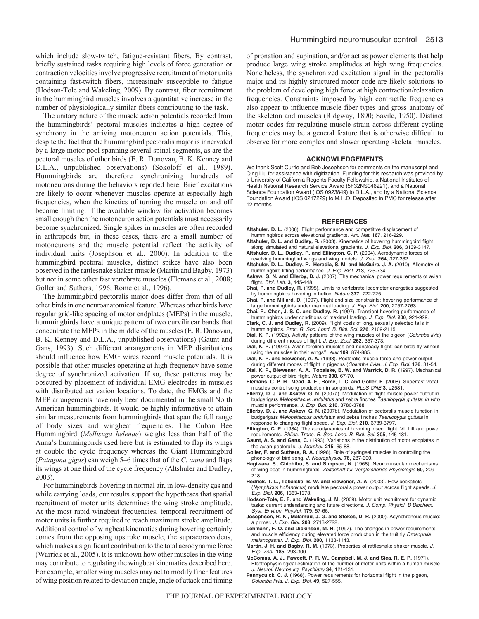which include slow-twitch, fatigue-resistant fibers. By contrast, briefly sustained tasks requiring high levels of force generation or contraction velocities involve progressive recruitment of motor units containing fast-twitch fibers, increasingly susceptible to fatigue (Hodson-Tole and Wakeling, 2009). By contrast, fiber recruitment in the hummingbird muscles involves a quantitative increase in the number of physiologically similar fibers contributing to the task.

The unitary nature of the muscle action potentials recorded from the hummingbirds' pectoral muscles indicates a high degree of synchrony in the arriving motoneuron action potentials. This, despite the fact that the hummingbird pectoralis major is innervated by a large motor pool spanning several spinal segments, as are the pectoral muscles of other birds (E. R. Donovan, B. K. Kenney and D.L.A., unpublished observations) (Sokoloff et al., 1989). Hummingbirds are therefore synchronizing hundreds of motoneurons during the behaviors reported here. Brief excitations are likely to occur whenever muscles operate at especially high frequencies, when the kinetics of turning the muscle on and off become limiting. If the available window for activation becomes small enough then the motoneuron action potentials must necessarily become synchronized. Single spikes in muscles are often recorded in arthropods but, in these cases, there are a small number of motoneurons and the muscle potential reflect the activity of individual units (Josephson et al., 2000). In addition to the hummingbird pectoral muscles, distinct spikes have also been observed in the rattlesnake shaker muscle (Martin and Bagby, 1973) but not in some other fast vertebrate muscles (Elemans et al., 2008; Goller and Suthers, 1996; Rome et al., 1996).

The hummingbird pectoralis major does differ from that of all other birds in one neuroanatomical feature. Whereas other birds have regular grid-like spacing of motor endplates (MEPs) in the muscle, hummingbirds have a unique pattern of two curvilinear bands that concentrate the MEPs in the middle of the muscles (E. R. Donovan, B. K. Kenney and D.L.A., unpublished observations) (Gaunt and Gans, 1993). Such different arrangements in MEP distributions should influence how EMG wires record muscle potentials. It is possible that other muscles operating at high frequency have some degree of synchronized activation. If so, these patterns may be obscured by placement of individual EMG electrodes in muscles with distributed activation locations. To date, the EMGs and the MEP arrangements have only been documented in the small North American hummingbirds. It would be highly informative to attain similar measurements from hummingbirds that span the full range of body sizes and wingbeat frequencies. The Cuban Bee Hummingbird (*Mellisuga helenae*) weighs less than half of the Anna's hummingbirds used here but is estimated to flap its wings at double the cycle frequency whereas the Giant Hummingbird (*Patagona gigas*) can weigh 5–6 times that of the *C. anna* and flaps its wings at one third of the cycle frequency (Altshuler and Dudley, 2003).

For hummingbirds hovering in normal air, in low-density gas and while carrying loads, our results support the hypotheses that spatial recruitment of motor units determines the wing stroke amplitude. At the most rapid wingbeat frequencies, temporal recruitment of motor units is further required to reach maximum stroke amplitude. Additional control of wingbeat kinematics during hovering certainly comes from the opposing upstroke muscle, the supracoracoideus, which makes a significant contribution to the total aerodynamic force (Warrick et al., 2005). It is unknown how other muscles in the wing may contribute to regulating the wingbeat kinematics described here. For example, smaller wing muscles may act to modify finer features of wing position related to deviation angle, angle of attack and timing

of pronation and supination, and/or act as power elements that help produce large wing stroke amplitudes at high wing frequencies. Nonetheless, the synchronized excitation signal in the pectoralis major and its highly structured motor code are likely solutions to the problem of developing high force at high contraction/relaxation frequencies. Constraints imposed by high contractile frequencies also appear to influence muscle fiber types and gross anatomy of the skeleton and muscles (Ridgway, 1890; Savile, 1950). Distinct motor codes for regulating muscle strain across different cycling frequencies may be a general feature that is otherwise difficult to observe for more complex and slower operating skeletal muscles.

#### **ACKNOWLEDGEMENTS**

We thank Scott Currie and Bob Josephson for comments on the manuscript and Qing Liu for assistance with digitization. Funding for this research was provided by a University of California Regents Faculty Fellowship, a National Institutes of Health National Research Service Award (5F32NS046221), and a National Science Foundation Award (IOS 0923849) to D.L.A., and by a National Science Foundation Award (IOS 0217229) to M.H.D. Deposited in PMC for release after 12 months.

#### **REFERENCES**

- **Altshuler, D. L.** (2006). Flight performance and competitive displacement of hummingbirds across elevational gradients. Am. Nat. **167**, 216-229.
- **Altshuler, D. L. and Dudley, R.** (2003). Kinematics of hovering hummingbird flight along simulated and natural elevational gradients. J. Exp. Biol. **206**, 3139-3147.
- **Altshuler, D. L., Dudley, R. and Ellington, C. P.** (2004). Aerodynamic forces of revolving hummingbird wings and wing models. J. Zool. **264**, 327-332.
- **Altshuler, D. L., Dudley, R., Heredia, S. M. and McGuire, J. A.** (2010). Allometry of hummingbird lifting performance. J. Exp. Biol. **213**, 725-734.
- **Askew, G. N. and Ellerby, D. J.** (2007). The mechanical power requirements of avian flight. Biol. Lett. **3**, 445-448.
- **Chai, P. and Dudley, R.** (1995). Limits to vertebrate locomoter energetics suggested by hummingbirds hovering in heliox. Nature **377**, 722-725.
- **Chai, P. and Millard, D.** (1997). Flight and size constraints: hovering performance of large hummingbirds under maximal loading. J. Exp. Biol. **200**, 2757-2763.
- **Chai, P., Chen, J. S. C. and Dudley, R.** (1997). Transient hovering performance of hummingbirds under conditions of maximal loading. J. Exp. Biol. **200**, 921-929. **Clark, C. J. and Dudley, R.** (2009). Flight costs of long, sexually selected tails in
- hummingbirds. Proc. R. Soc. Lond. B. Biol. Sci. **276**, 2109-2115.
- **Dial, K. P.** (1992a). Activity patterns of the wing muscles of the pigeon (Columba livia) during different modes of flight. J. Exp. Zool. **262**, 357-373.
- **Dial, K. P.** (1992b). Avian forelimb muscles and nonsteady flight: can birds fly without using the muscles in their wings?. Auk **109**, 874-885.
- **Dial, K. P. and Biewener, A. A.** (1993). Pectoralis muscle force and power output
- during different modes of flight in pigeons (Columba livia). J. Exp. Biol. **176**, 31-54. **Dial, K. P., Biewener, A. A., Tobalske, B. W. and Warrick, D. R.** (1997). Mechanical power output of bird flight. Nature **390**, 67-70.
- **Elemans, C. P. H., Mead, A. F., Rome, L. C. and Goller, F.** (2008). Superfast vocal muscles control song production in songbirds. PLoS ONE **3**, e2581.
- **Ellerby, D. J. and Askew, G. N.** (2007a). Modulation of flight muscle power output in budgerigars Melopsittacus undulatus and zebra finches Taeniopygia guttata: in vitro muscle performance. J. Exp. Biol. **210**, 3780-3788.
- **Ellerby, D. J. and Askew, G. N.** (2007b). Modulation of pectoralis muscle function in budgerigars Melopsitaccus undulatus and zebra finches Taeniopygia guttata in response to changing flight speed. J. Exp. Biol. **210**, 3789-3797.
- **Ellington, C. P.** (1984). The aerodynamics of hovering insect flight. VI. Lift and power requirements. Philos. Trans. R. Soc. Lond. B. Biol. Sci. **305**, 145-181.
- **Gaunt, A. S. and Gans, C.** (1993). Variations in the distribution of motor endplates in the avian pectoralis. J. Morphol. **215**, 65-88.
- **Goller, F. and Suthers, R. A.** (1996). Role of syringeal muscles in controlling the phonology of bird song. J. Neurophysiol. **76**, 287-300.
- **Hagiwara, S., Chichibu, S. and Simpson, N.** (1968). Neuromuscular mechanisms of wing beat in hummingbirds. Zeitschrift fur Vergleichende Physiologie **60**, 209- 218.
- **Hedrick, T. L., Tobalske, B. W. and Biewener, A. A.** (2003). How cockatiels (Nymphicus hollandicus) modulate pectoralis power output across flight speeds. J. Exp. Biol. **206**, 1363-1378.
- **Hodson-Tole, E. F. and Wakeling, J. M.** (2009). Motor unit recruitment for dynamic tasks: current understanding and future directions. J. Comp. Physiol. B Biochem. Syst. Environ. Physiol. **179**, 57-66.
- **Josephson, R. K., Malamud, J. G. and Stokes, D. R.** (2000). Asynchronous muscle: a primer. J. Exp. Biol. **203**, 2713-2722.
- **Lehmann, F. O. and Dickinson, M. H.** (1997). The changes in power requirements and muscle efficiency during elevated force production in the fruit fly Drosophila melanogaster. J. Exp. Biol. **200**, 1133-1143.
- **Martin, J. H. and Bagby, R. M.** (1973). Properties of rattlesnake shaker muscle. J. Exp. Zool. **185**, 293-300.
- **McComas, A. J., Fawcett, P. R. W., Campbell, M. J. and Sica, R. E. P.** (1971). Electrophysiological estimation of the number of motor units within a human muscle. J. Neurol. Neurosurg. Psychiatry **34**, 121-131.
- **Pennycuick, C. J.** (1968). Power requirements for horizontal flight in the pigeon, Columba livia. J. Exp. Biol. **49**, 527-555.